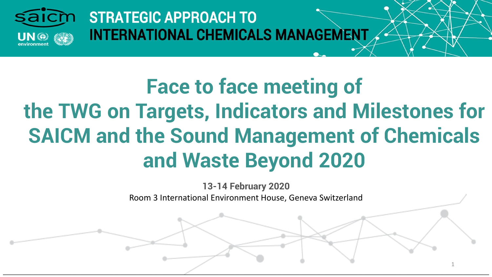

# **Face to face meeting of the TWG on Targets, Indicators and Milestones for SAICM and the Sound Management of Chemicals and Waste Beyond 2020**

**13-14 February 2020**  Room 3 International Environment House, Geneva Switzerland

1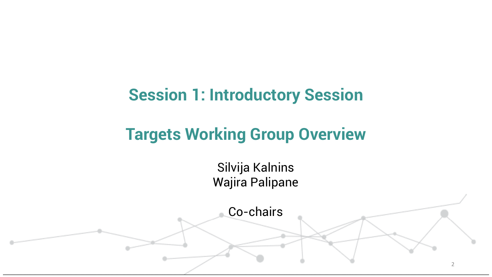### **Session 1: Introductory Session**

# **Targets Working Group Overview**

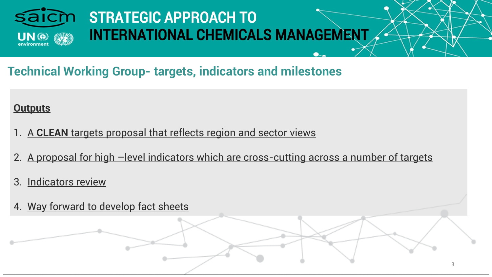

### **Technical Working Group- targets, indicators and milestones**

#### **Outputs**

- 1. A **CLEAN** targets proposal that reflects region and sector views
- 2. A proposal for high -level indicators which are cross-cutting across a number of targets
- 3. Indicators review
- 4. Way forward to develop fact sheets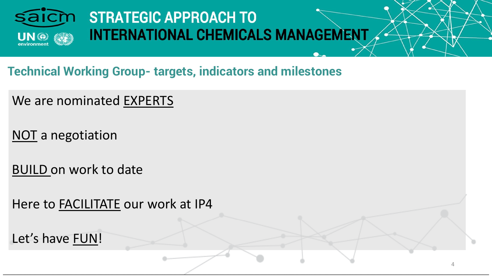

**Technical Working Group- targets, indicators and milestones** 

We are nominated EXPERTS

NOT a negotiation

BUILD on work to date

Here to FACILITATE our work at IP4

Let's have FUN!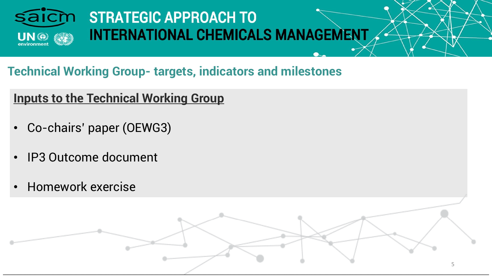

5

### **Technical Working Group- targets, indicators and milestones**

### **Inputs to the Technical Working Group**

- Co-chairs' paper (OEWG3)
- IP3 Outcome document
- Homework exercise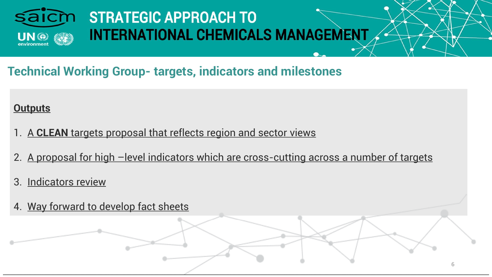

### **Technical Working Group- targets, indicators and milestones**

#### **Outputs**

- 1. A **CLEAN** targets proposal that reflects region and sector views
- 2. A proposal for high -level indicators which are cross-cutting across a number of targets
- 3. Indicators review
- 4. Way forward to develop fact sheets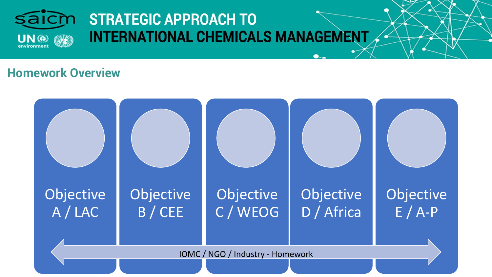

#### **Homework Overview**